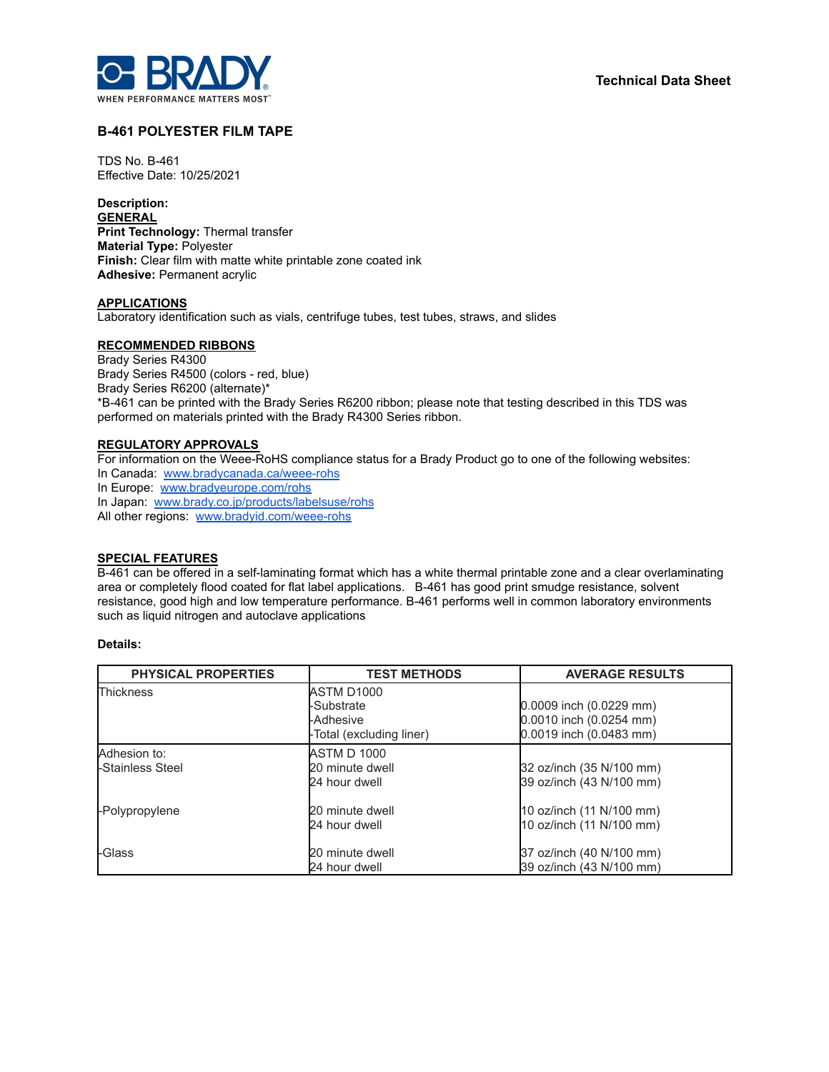

# **B-461 POLYESTER FILM TAPE**

TDS No. B-461 Effective Date: 10/25/2021

**Description: GENERAL Print Technology:** Thermal transfer **Material Type:** Polyester **Finish:** Clear film with matte white printable zone coated ink **Adhesive:** Permanent acrylic

### **APPLICATIONS**

Laboratory identification such as vials, centrifuge tubes, test tubes, straws, and slides

#### **RECOMMENDED RIBBONS**

Brady Series R4300 Brady Series R4500 (colors - red, blue) Brady Series R6200 (alternate)\* \*B-461 can be printed with the Brady Series R6200 ribbon; please note that testing described in this TDS was performed on materials printed with the Brady R4300 Series ribbon.

# **REGULATORY APPROVALS**

For information on the Weee-RoHS compliance status for a Brady Product go to one of the following websites: In Canada: [www.bradycanada.ca/weee-rohs](http://www.bradycanada.ca/weee-rohs) In Europe: [www.bradyeurope.com/rohs](http://www.bradyeurope.com/rohs) In Japan: www.[brady.co.jp/products/labelsuse/rohs](https://brady.co.jp/products/labelsuse/rohs) All other regions: [www.bradyid.com/weee-rohs](http://www.bradyid.com/weee-rohs)

# **SPECIAL FEATURES**

B-461 can be offered in a self-laminating format which has a white thermal printable zone and a clear overlaminating area or completely flood coated for flat label applications. B-461 has good print smudge resistance, solvent resistance, good high and low temperature performance. B-461 performs well in common laboratory environments such as liquid nitrogen and autoclave applications

#### **Details:**

| <b>PHYSICAL PROPERTIES</b>       | <b>TEST METHODS</b>                                               | <b>AVERAGE RESULTS</b>                                                        |  |
|----------------------------------|-------------------------------------------------------------------|-------------------------------------------------------------------------------|--|
| Thickness                        | ASTM D1000<br>-Substrate<br>-Adhesive<br>-Total (excluding liner) | 0.0009 inch (0.0229 mm)<br>0.0010 inch (0.0254 mm)<br>0.0019 inch (0.0483 mm) |  |
| Adhesion to:<br>-Stainless Steel | <b>ASTM D 1000</b><br>20 minute dwell<br>24 hour dwell            | 32 oz/inch (35 N/100 mm)<br>39 oz/inch (43 N/100 mm)                          |  |
| -Polypropylene                   | 20 minute dwell<br>24 hour dwell                                  | 10 oz/inch (11 N/100 mm)<br>10 oz/inch (11 N/100 mm)                          |  |
| -Glass                           | 20 minute dwell<br>24 hour dwell                                  | 37 oz/inch (40 N/100 mm)<br>39 oz/inch (43 N/100 mm)                          |  |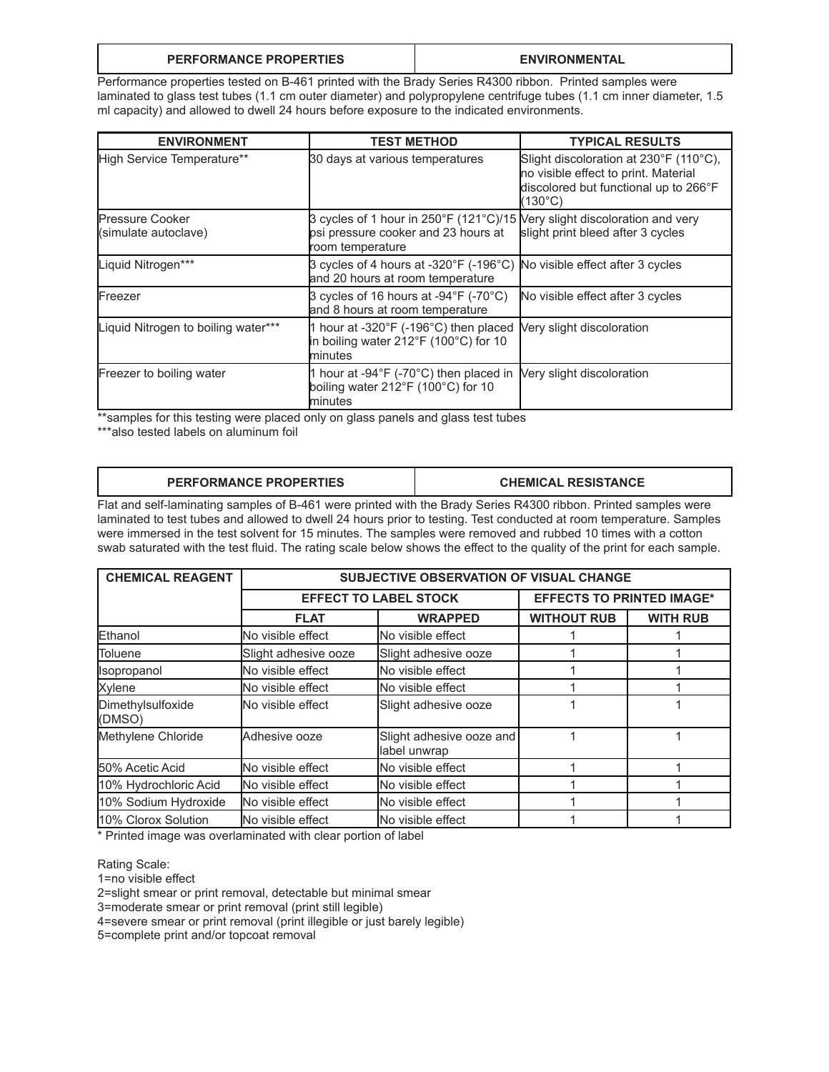### **PERFORMANCE PROPERTIES ENVIRONMENTAL**

Performance properties tested on B-461 printed with the Brady Series R4300 ribbon. Printed samples were laminated to glass test tubes (1.1 cm outer diameter) and polypropylene centrifuge tubes (1.1 cm inner diameter, 1.5 ml capacity) and allowed to dwell 24 hours before exposure to the indicated environments.

| <b>ENVIRONMENT</b>                             | <b>TEST METHOD</b>                                                                                                                   | <b>TYPICAL RESULTS</b>                                                                                                             |  |
|------------------------------------------------|--------------------------------------------------------------------------------------------------------------------------------------|------------------------------------------------------------------------------------------------------------------------------------|--|
| High Service Temperature**                     | 30 days at various temperatures                                                                                                      | Slight discoloration at 230°F (110°C),<br>no visible effect to print. Material<br>discolored but functional up to 266°F<br>(130°C) |  |
| <b>Pressure Cooker</b><br>(simulate autoclave) | 3 cycles of 1 hour in 250°F (121°C)/15 Very slight discoloration and very<br>psi pressure cooker and 23 hours at<br>room temperature | slight print bleed after 3 cycles                                                                                                  |  |
| Liquid Nitrogen***                             | 3 cycles of 4 hours at -320°F (-196°C) No visible effect after 3 cycles<br>and 20 hours at room temperature                          |                                                                                                                                    |  |
| Freezer                                        | 3 cycles of 16 hours at -94°F (-70°C)<br>and 8 hours at room temperature                                                             | No visible effect after 3 cycles                                                                                                   |  |
| Liquid Nitrogen to boiling water***            | 1 hour at -320 $\degree$ F (-196 $\degree$ C) then placed<br>in boiling water 212°F (100°C) for 10<br>minutes                        | Very slight discoloration                                                                                                          |  |
| Freezer to boiling water                       | 1 hour at -94 $\degree$ F (-70 $\degree$ C) then placed in<br>boiling water 212°F (100°C) for 10<br>minutes                          | Very slight discoloration                                                                                                          |  |

\*\*samples for this testing were placed only on glass panels and glass test tubes

\*\*\*also tested labels on aluminum foil

| <b>PERFORMANCE PROPERTIES</b><br><b>CHEMICAL RESISTANCE</b> |  |  |
|-------------------------------------------------------------|--|--|
|-------------------------------------------------------------|--|--|

Flat and self-laminating samples of B-461 were printed with the Brady Series R4300 ribbon. Printed samples were laminated to test tubes and allowed to dwell 24 hours prior to testing. Test conducted at room temperature. Samples were immersed in the test solvent for 15 minutes. The samples were removed and rubbed 10 times with a cotton swab saturated with the test fluid. The rating scale below shows the effect to the quality of the print for each sample.

| <b>CHEMICAL REAGENT</b>     | SUBJECTIVE OBSERVATION OF VISUAL CHANGE |                                          |                                  |                 |  |
|-----------------------------|-----------------------------------------|------------------------------------------|----------------------------------|-----------------|--|
|                             | <b>EFFECT TO LABEL STOCK</b>            |                                          | <b>EFFECTS TO PRINTED IMAGE*</b> |                 |  |
|                             | <b>FLAT</b>                             | <b>WRAPPED</b>                           | <b>WITHOUT RUB</b>               | <b>WITH RUB</b> |  |
| Ethanol                     | No visible effect                       | No visible effect                        |                                  |                 |  |
| Toluene                     | Slight adhesive ooze                    | Slight adhesive ooze                     |                                  |                 |  |
| Isopropanol                 | No visible effect                       | No visible effect                        |                                  |                 |  |
| Xylene                      | No visible effect                       | No visible effect                        |                                  |                 |  |
| Dimethylsulfoxide<br>(DMSO) | No visible effect                       | Slight adhesive ooze                     |                                  |                 |  |
| Methylene Chloride          | Adhesive ooze                           | Slight adhesive ooze and<br>label unwrap |                                  |                 |  |
| 50% Acetic Acid             | No visible effect                       | No visible effect                        |                                  |                 |  |
| 10% Hydrochloric Acid       | No visible effect                       | No visible effect                        |                                  |                 |  |
| 10% Sodium Hydroxide        | No visible effect                       | No visible effect                        |                                  |                 |  |
| 10% Clorox Solution         | <b>No visible effect</b>                | No visible effect                        |                                  |                 |  |

\* Printed image was overlaminated with clear portion of label

Rating Scale:

1=no visible effect

2=slight smear or print removal, detectable but minimal smear

3=moderate smear or print removal (print still legible)

4=severe smear or print removal (print illegible or just barely legible)

5=complete print and/or topcoat removal